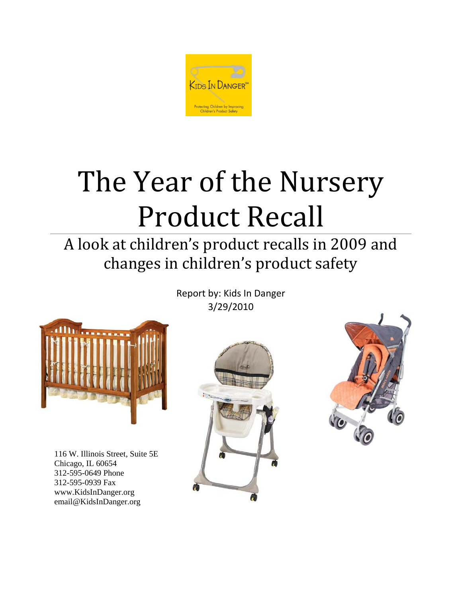

# The Year of the Nursery Product Recall

# A look at children's product recalls in 2009 and changes in children's product safety

Report by: Kids In Danger 3/29/2010



116 W. Illinois Street, Suite 5E Chicago, IL 60654 312-595-0649 Phone 312-595-0939 Fax www.KidsInDanger.org email@KidsInDanger.org



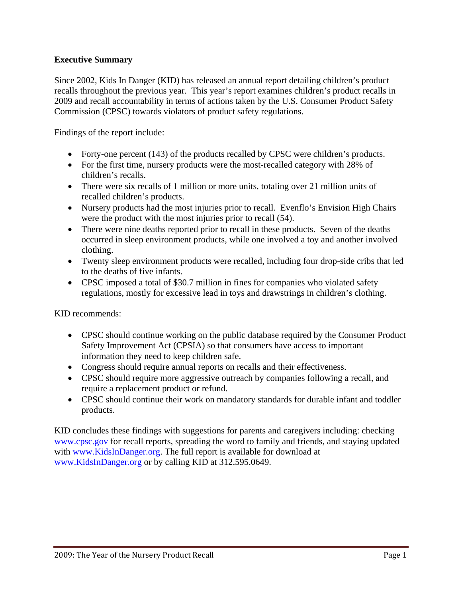#### **Executive Summary**

Since 2002, Kids In Danger (KID) has released an annual report detailing children's product recalls throughout the previous year. This year's report examines children's product recalls in 2009 and recall accountability in terms of actions taken by the U.S. Consumer Product Safety Commission (CPSC) towards violators of product safety regulations.

Findings of the report include:

- Forty-one percent (143) of the products recalled by CPSC were children's products.
- For the first time, nursery products were the most-recalled category with 28% of children's recalls.
- There were six recalls of 1 million or more units, totaling over 21 million units of recalled children's products.
- Nursery products had the most injuries prior to recall. Evenflo's Envision High Chairs were the product with the most injuries prior to recall (54).
- There were nine deaths reported prior to recall in these products. Seven of the deaths occurred in sleep environment products, while one involved a toy and another involved clothing.
- Twenty sleep environment products were recalled, including four drop-side cribs that led to the deaths of five infants.
- CPSC imposed a total of \$30.7 million in fines for companies who violated safety regulations, mostly for excessive lead in toys and drawstrings in children's clothing.

KID recommends:

- CPSC should continue working on the public database required by the Consumer Product Safety Improvement Act (CPSIA) so that consumers have access to important information they need to keep children safe.
- Congress should require annual reports on recalls and their effectiveness.
- CPSC should require more aggressive outreach by companies following a recall, and require a replacement product or refund.
- CPSC should continue their work on mandatory standards for durable infant and toddler products.

KID concludes these findings with suggestions for parents and caregivers including: checking www.cpsc.gov for recall reports, spreading the word to family and friends, and staying updated with www.KidsInDanger.org. The full report is available for download at www.KidsInDanger.org or by calling KID at 312.595.0649.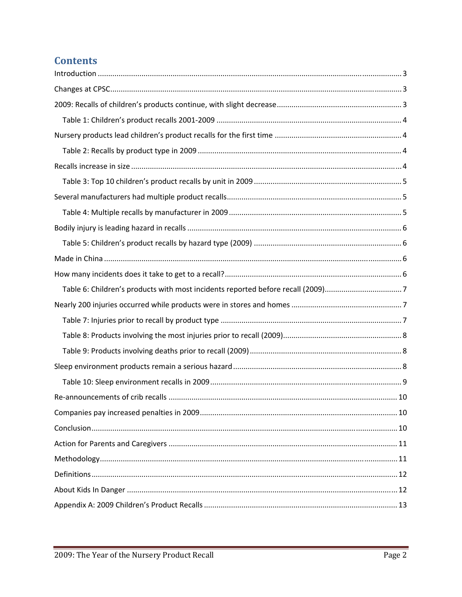# **Contents**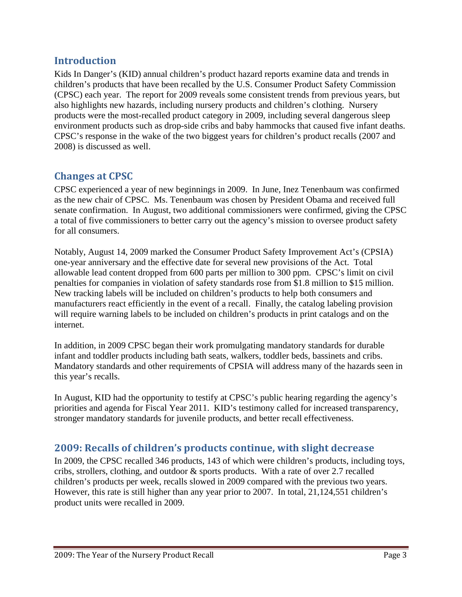# **Introduction**

Kids In Danger's (KID) annual children's product hazard reports examine data and trends in children's products that have been recalled by the U.S. Consumer Product Safety Commission (CPSC) each year. The report for 2009 reveals some consistent trends from previous years, but also highlights new hazards, including nursery products and children's clothing. Nursery products were the most-recalled product category in 2009, including several dangerous sleep environment products such as drop-side cribs and baby hammocks that caused five infant deaths. CPSC's response in the wake of the two biggest years for children's product recalls (2007 and 2008) is discussed as well.

# **Changes at CPSC**

CPSC experienced a year of new beginnings in 2009. In June, Inez Tenenbaum was confirmed as the new chair of CPSC. Ms. Tenenbaum was chosen by President Obama and received full senate confirmation. In August, two additional commissioners were confirmed, giving the CPSC a total of five commissioners to better carry out the agency's mission to oversee product safety for all consumers.

Notably, August 14, 2009 marked the Consumer Product Safety Improvement Act's (CPSIA) one-year anniversary and the effective date for several new provisions of the Act. Total allowable lead content dropped from 600 parts per million to 300 ppm. CPSC's limit on civil penalties for companies in violation of safety standards rose from \$1.8 million to \$15 million. New tracking labels will be included on children's products to help both consumers and manufacturers react efficiently in the event of a recall. Finally, the catalog labeling provision will require warning labels to be included on children's products in print catalogs and on the internet.

In addition, in 2009 CPSC began their work promulgating mandatory standards for durable infant and toddler products including bath seats, walkers, toddler beds, bassinets and cribs. Mandatory standards and other requirements of CPSIA will address many of the hazards seen in this year's recalls.

In August, KID had the opportunity to testify at CPSC's public hearing regarding the agency's priorities and agenda for Fiscal Year 2011. KID's testimony called for increased transparency, stronger mandatory standards for juvenile products, and better recall effectiveness.

#### **2009: Recalls of children's products continue, with slight decrease**

In 2009, the CPSC recalled 346 products, 143 of which were children's products, including toys, cribs, strollers, clothing, and outdoor & sports products. With a rate of over 2.7 recalled children's products per week, recalls slowed in 2009 compared with the previous two years. However, this rate is still higher than any year prior to 2007. In total, 21,124,551 children's product units were recalled in 2009.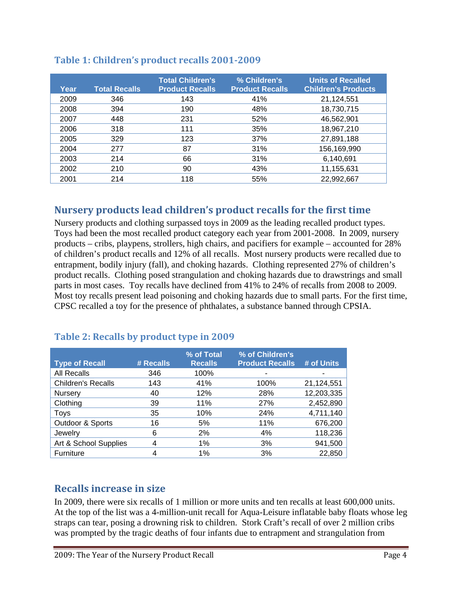| Year | <b>Total Recalls</b> | <b>Total Children's</b><br><b>Product Recalls</b> | % Children's<br><b>Product Recalls</b> | <b>Units of Recalled</b><br><b>Children's Products</b> |
|------|----------------------|---------------------------------------------------|----------------------------------------|--------------------------------------------------------|
| 2009 | 346                  | 143                                               | 41%                                    | 21,124,551                                             |
| 2008 | 394                  | 190                                               | 48%                                    | 18,730,715                                             |
| 2007 | 448                  | 231                                               | 52%                                    | 46,562,901                                             |
| 2006 | 318                  | 111                                               | 35%                                    | 18,967,210                                             |
| 2005 | 329                  | 123                                               | 37%                                    | 27,891,188                                             |
| 2004 | 277                  | 87                                                | 31%                                    | 156,169,990                                            |
| 2003 | 214                  | 66                                                | 31%                                    | 6,140,691                                              |
| 2002 | 210                  | 90                                                | 43%                                    | 11,155,631                                             |
| 2001 | 214                  | 118                                               | 55%                                    | 22,992,667                                             |

#### **Table 1: Children's product recalls 20012009**

#### **Nursery products lead children's product recalls for the first time**

Nursery products and clothing surpassed toys in 2009 as the leading recalled product types. Toys had been the most recalled product category each year from 2001-2008. In 2009, nursery products – cribs, playpens, strollers, high chairs, and pacifiers for example – accounted for 28% of children's product recalls and 12% of all recalls. Most nursery products were recalled due to entrapment, bodily injury (fall), and choking hazards. Clothing represented 27% of children's product recalls. Clothing posed strangulation and choking hazards due to drawstrings and small parts in most cases. Toy recalls have declined from 41% to 24% of recalls from 2008 to 2009. Most toy recalls present lead poisoning and choking hazards due to small parts. For the first time, CPSC recalled a toy for the presence of phthalates, a substance banned through CPSIA.

| <b>Type of Recall</b>     | # Recalls | % of Total<br><b>Recalls</b> | % of Children's<br><b>Product Recalls</b> | # of Units |
|---------------------------|-----------|------------------------------|-------------------------------------------|------------|
| All Recalls               | 346       | 100%                         |                                           |            |
| <b>Children's Recalls</b> | 143       | 41%                          | 100%                                      | 21,124,551 |
| Nursery                   | 40        | 12%                          | 28%                                       | 12,203,335 |
| Clothing                  | 39        | 11%                          | 27%                                       | 2,452,890  |
| <b>Toys</b>               | 35        | 10%                          | 24%                                       | 4,711,140  |
| Outdoor & Sports          | 16        | 5%                           | 11%                                       | 676,200    |
| Jewelry                   | 6         | 2%                           | 4%                                        | 118,236    |
| Art & School Supplies     | 4         | 1%                           | 3%                                        | 941,500    |
| Furniture                 | 4         | 1%                           | 3%                                        | 22,850     |

#### **Table 2: Recalls by product type in 2009**

#### **Recalls increase in size**

In 2009, there were six recalls of 1 million or more units and ten recalls at least 600,000 units. At the top of the list was a 4-million-unit recall for Aqua-Leisure inflatable baby floats whose leg straps can tear, posing a drowning risk to children. Stork Craft's recall of over 2 million cribs was prompted by the tragic deaths of four infants due to entrapment and strangulation from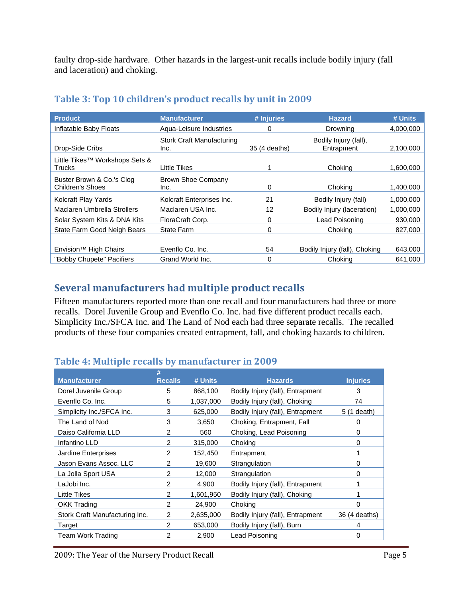faulty drop-side hardware. Other hazards in the largest-unit recalls include bodily injury (fall and laceration) and choking.

| <b>Product</b>                                | <b>Manufacturer</b>                      | # Injuries    | <b>Hazard</b>                       | # Units   |
|-----------------------------------------------|------------------------------------------|---------------|-------------------------------------|-----------|
| Inflatable Baby Floats                        | Agua-Leisure Industries                  | 0             | Drowning                            | 4,000,000 |
| Drop-Side Cribs                               | <b>Stork Craft Manufacturing</b><br>Inc. | 35 (4 deaths) | Bodily Injury (fall),<br>Entrapment | 2,100,000 |
| Little Tikes™ Workshops Sets &<br>Trucks      | Little Tikes                             |               | Choking                             | 1,600,000 |
| Buster Brown & Co.'s Clog<br>Children's Shoes | <b>Brown Shoe Company</b><br>Inc.        | 0             | Chokina                             | 1,400,000 |
| Kolcraft Play Yards                           | Kolcraft Enterprises Inc.                | 21            | Bodily Injury (fall)                | 1,000,000 |
| Maclaren Umbrella Strollers                   | Maclaren USA Inc.                        | 12            | Bodily Injury (laceration)          | 1,000,000 |
| Solar System Kits & DNA Kits                  | FloraCraft Corp.                         | 0             | Lead Poisoning                      | 930,000   |
| State Farm Good Neigh Bears                   | State Farm                               | 0             | Choking                             | 827,000   |
|                                               |                                          |               |                                     |           |
| Envision <sup>™</sup> High Chairs             | Evenflo Co. Inc.                         | 54            | Bodily Injury (fall), Choking       | 643,000   |
| "Bobby Chupete" Pacifiers                     | Grand World Inc.                         | 0             | Choking                             | 641,000   |

#### **Table 3: Top 10 children's product recalls by unit in 2009**

# **Several manufacturers had multiple product recalls**

Fifteen manufacturers reported more than one recall and four manufacturers had three or more recalls. Dorel Juvenile Group and Evenflo Co. Inc. had five different product recalls each. Simplicity Inc./SFCA Inc. and The Land of Nod each had three separate recalls. The recalled products of these four companies created entrapment, fall, and choking hazards to children.

#### **Table 4: Multiple recalls by manufacturer in 2009**

| <b>Recalls</b><br># Units | <b>Hazards</b>                   | <b>Injuries</b> |
|---------------------------|----------------------------------|-----------------|
| 868,100                   | Bodily Injury (fall), Entrapment | 3               |
| 1,037,000                 | Bodily Injury (fall), Choking    | 74              |
| 625,000                   | Bodily Injury (fall), Entrapment | 5 (1 death)     |
| 3,650                     | Choking, Entrapment, Fall        | 0               |
| 560                       | Choking, Lead Poisoning          | 0               |
| 315,000                   | Choking                          | 0               |
| 152,450                   | Entrapment                       |                 |
| 19,600                    | Strangulation                    | 0               |
| 12,000                    | Strangulation                    | 0               |
| 4,900                     | Bodily Injury (fall), Entrapment |                 |
| 1,601,950                 | Bodily Injury (fall), Choking    |                 |
| 24,900                    | Choking                          | n               |
| 2,635,000                 | Bodily Injury (fall), Entrapment | 36 (4 deaths)   |
| 653,000                   | Bodily Injury (fall), Burn       | 4               |
| 2,900                     | Lead Poisoning                   | 0               |
|                           |                                  |                 |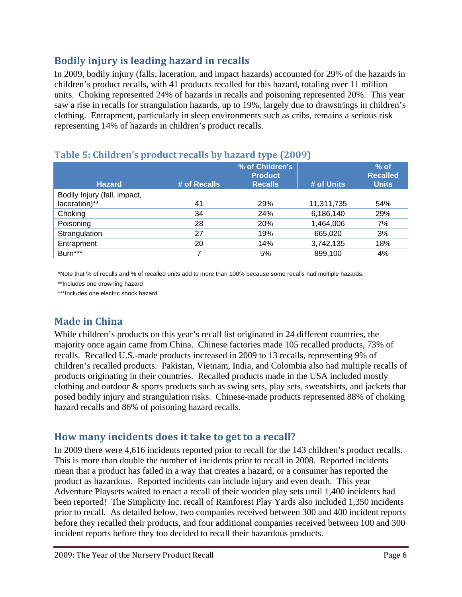# **Bodily injury is leading hazard in recalls**

In 2009, bodily injury (falls, laceration, and impact hazards) accounted for 29% of the hazards in children's product recalls, with 41 products recalled for this hazard, totaling over 11 million units. Choking represented 24% of hazards in recalls and poisoning represented 20%. This year saw a rise in recalls for strangulation hazards, up to 19%, largely due to drawstrings in children's clothing. Entrapment, particularly in sleep environments such as cribs, remains a serious risk representing 14% of hazards in children's product recalls.

| <b>Hazard</b>                | # of Recalls | % of Children's<br><b>Product</b><br><b>Recalls</b> | # of Units              | $%$ of<br><b>Recalled</b><br><b>Units</b> |
|------------------------------|--------------|-----------------------------------------------------|-------------------------|-------------------------------------------|
| Bodily Injury (fall, impact, |              |                                                     |                         |                                           |
| laceration)**<br>Choking     | 41<br>34     | 29%<br>24%                                          | 11,311,735<br>6,186,140 | 54%<br>29%                                |
| Poisoning                    | 28           | <b>20%</b>                                          | 1,464,006               | 7%                                        |
| Strangulation                | 27           | 19%                                                 | 665,020                 | 3%                                        |
| Entrapment                   | 20           | 14%                                                 | 3,742,135               | 18%                                       |
| Burn***                      |              | 5%                                                  | 899,100                 | 4%                                        |

# **Table 5: Children's product recalls by hazard type (2009)**

\*Note that % of recalls and % of recalled units add to more than 100% because some recalls had multiple hazards.

\*\*Includes one drowning hazard

\*\*\*Includes one electric shock hazard

# **Made in China**

While children's products on this year's recall list originated in 24 different countries, the majority once again came from China. Chinese factories made 105 recalled products, 73% of recalls. Recalled U.S.-made products increased in 2009 to 13 recalls, representing 9% of children's recalled products. Pakistan, Vietnam, India, and Colombia also had multiple recalls of products originating in their countries. Recalled products made in the USA included mostly clothing and outdoor & sports products such as swing sets, play sets, sweatshirts, and jackets that posed bodily injury and strangulation risks. Chinese-made products represented 88% of choking hazard recalls and 86% of poisoning hazard recalls.

#### **How many incidents does it take to get to a recall?**

In 2009 there were 4,616 incidents reported prior to recall for the 143 children's product recalls. This is more than double the number of incidents prior to recall in 2008. Reported incidents mean that a product has failed in a way that creates a hazard, or a consumer has reported the product as hazardous. Reported incidents can include injury and even death. This year Adventure Playsets waited to enact a recall of their wooden play sets until 1,400 incidents had been reported! The Simplicity Inc. recall of Rainforest Play Yards also included 1,350 incidents prior to recall. As detailed below, two companies received between 300 and 400 incident reports before they recalled their products, and four additional companies received between 100 and 300 incident reports before they too decided to recall their hazardous products.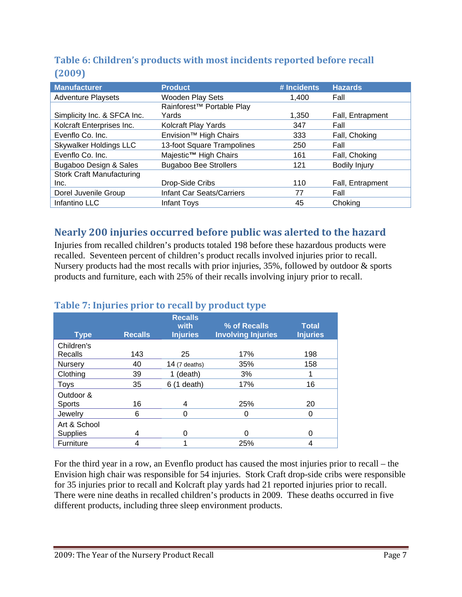# **Table 6: Children's products with most incidents reported before recall (2009)**

| <b>Manufacturer</b>              | <b>Product</b>                    | # Incidents | <b>Hazards</b>   |
|----------------------------------|-----------------------------------|-------------|------------------|
| <b>Adventure Playsets</b>        | <b>Wooden Play Sets</b>           | 1.400       | Fall             |
|                                  | Rainforest™ Portable Play         |             |                  |
| Simplicity Inc. & SFCA Inc.      | Yards                             | 1,350       | Fall, Entrapment |
| Kolcraft Enterprises Inc.        | Kolcraft Play Yards               | 347         | Fall             |
| Evenflo Co. Inc.                 | Envision <sup>™</sup> High Chairs | 333         | Fall, Choking    |
| <b>Skywalker Holdings LLC</b>    | 13-foot Square Trampolines        | 250         | Fall             |
| Evenflo Co. Inc.                 | Majestic <sup>™</sup> High Chairs | 161         | Fall, Choking    |
| Bugaboo Design & Sales           | <b>Bugaboo Bee Strollers</b>      | 121         | Bodily Injury    |
| <b>Stork Craft Manufacturing</b> |                                   |             |                  |
| Inc.                             | Drop-Side Cribs                   | 110         | Fall, Entrapment |
| Dorel Juvenile Group             | <b>Infant Car Seats/Carriers</b>  | 77          | Fall             |
| Infantino LLC                    | Infant Toys                       | 45          | Choking          |

# **Nearly 200 injuries occurred before public was alerted to the hazard**

Injuries from recalled children's products totaled 198 before these hazardous products were recalled. Seventeen percent of children's product recalls involved injuries prior to recall. Nursery products had the most recalls with prior injuries, 35%, followed by outdoor & sports products and furniture, each with 25% of their recalls involving injury prior to recall.

|                            |                |                                           | . .                                       |                                 |
|----------------------------|----------------|-------------------------------------------|-------------------------------------------|---------------------------------|
| <b>Type</b>                | <b>Recalls</b> | <b>Recalls</b><br>with<br><b>Injuries</b> | % of Recalls<br><b>Involving Injuries</b> | <b>Total</b><br><b>Injuries</b> |
| Children's<br>Recalls      | 143            | 25                                        | 17%                                       | 198                             |
| Nursery                    | 40             | 14 $(7$ deaths)                           | 35%                                       | 158                             |
| Clothing                   | 39             | (death)                                   | 3%                                        |                                 |
| Toys                       | 35             | $6(1$ death)                              | 17%                                       | 16                              |
| Outdoor &<br><b>Sports</b> | 16             | 4                                         | 25%                                       | 20                              |
| Jewelry                    | 6              | $\Omega$                                  | 0                                         | 0                               |
| Art & School<br>Supplies   | 4              | 0                                         | 0                                         | 0                               |
| Furniture                  | 4              |                                           | 25%                                       | 4                               |

#### **Table 7: Injuries prior to recall by product type**

For the third year in a row, an Evenflo product has caused the most injuries prior to recall – the Envision high chair was responsible for 54 injuries. Stork Craft drop-side cribs were responsible for 35 injuries prior to recall and Kolcraft play yards had 21 reported injuries prior to recall. There were nine deaths in recalled children's products in 2009. These deaths occurred in five different products, including three sleep environment products.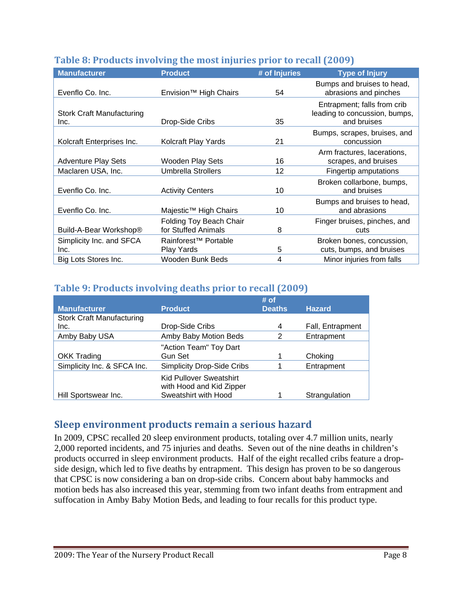| <b>Manufacturer</b>                      | <b>Product</b>                                        | # of Injuries  | <b>Type of Injury</b>                                                       |
|------------------------------------------|-------------------------------------------------------|----------------|-----------------------------------------------------------------------------|
| Evenflo Co. Inc.                         | Envision <sup>™</sup> High Chairs                     | 54             | Bumps and bruises to head,<br>abrasions and pinches                         |
| <b>Stork Craft Manufacturing</b><br>Inc. | Drop-Side Cribs                                       | 35             | Entrapment; falls from crib<br>leading to concussion, bumps,<br>and bruises |
| Kolcraft Enterprises Inc.                | Kolcraft Play Yards                                   | 21             | Bumps, scrapes, bruises, and<br>concussion                                  |
| <b>Adventure Play Sets</b>               | <b>Wooden Play Sets</b>                               | 16             | Arm fractures, lacerations,<br>scrapes, and bruises                         |
| Maclaren USA, Inc.                       | <b>Umbrella Strollers</b>                             | 12             | Fingertip amputations                                                       |
| Evenflo Co. Inc.                         | <b>Activity Centers</b>                               | 10             | Broken collarbone, bumps,<br>and bruises                                    |
| Evenflo Co. Inc.                         | Majestic <sup>™</sup> High Chairs                     | 10             | Bumps and bruises to head,<br>and abrasions                                 |
| Build-A-Bear Workshop®                   | <b>Folding Toy Beach Chair</b><br>for Stuffed Animals | 8              | Finger bruises, pinches, and<br>cuts                                        |
| Simplicity Inc. and SFCA<br>Inc.         | Rainforest <sup>™</sup> Portable<br>Play Yards        | 5              | Broken bones, concussion,<br>cuts, bumps, and bruises                       |
| Big Lots Stores Inc.                     | Wooden Bunk Beds                                      | $\overline{4}$ | Minor injuries from falls                                                   |

#### **Table 8: Products involving the most injuries prior to recall (2009)**

#### **Table 9: Products involving deaths prior to recall (2009)**

|                                  |                                                                                    | # of          |                  |
|----------------------------------|------------------------------------------------------------------------------------|---------------|------------------|
| <b>Manufacturer</b>              | <b>Product</b>                                                                     | <b>Deaths</b> | <b>Hazard</b>    |
| <b>Stork Craft Manufacturing</b> |                                                                                    |               |                  |
| Inc.                             | Drop-Side Cribs                                                                    | 4             | Fall, Entrapment |
| Amby Baby USA                    | Amby Baby Motion Beds                                                              | 2             | Entrapment       |
|                                  | "Action Team" Toy Dart                                                             |               |                  |
| <b>OKK Trading</b>               | Gun Set                                                                            |               | Choking          |
| Simplicity Inc. & SFCA Inc.      | <b>Simplicity Drop-Side Cribs</b>                                                  |               | Entrapment       |
| Hill Sportswear Inc.             | <b>Kid Pullover Sweatshirt</b><br>with Hood and Kid Zipper<br>Sweatshirt with Hood |               | Strangulation    |

# **Sleep environment products remain a serious hazard**

In 2009, CPSC recalled 20 sleep environment products, totaling over 4.7 million units, nearly 2,000 reported incidents, and 75 injuries and deaths. Seven out of the nine deaths in children's products occurred in sleep environment products. Half of the eight recalled cribs feature a dropside design, which led to five deaths by entrapment. This design has proven to be so dangerous that CPSC is now considering a ban on drop-side cribs. Concern about baby hammocks and motion beds has also increased this year, stemming from two infant deaths from entrapment and suffocation in Amby Baby Motion Beds, and leading to four recalls for this product type.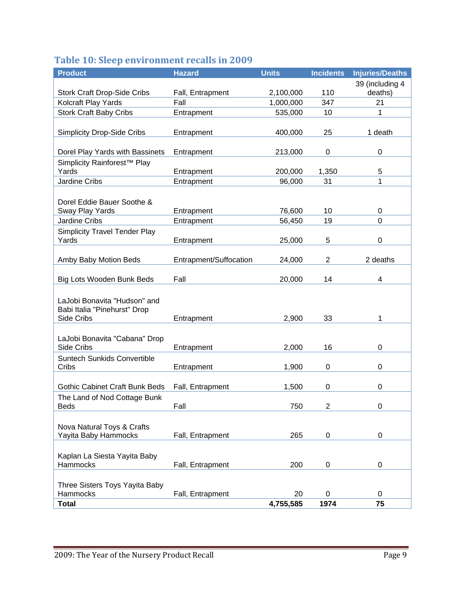# **Table 10: Sleep environment recalls in 2009**

| <b>Product</b>                                                                    | <b>Hazard</b>          | <b>Units</b>    | <b>Incidents</b> | <b>Injuries/Deaths</b> |
|-----------------------------------------------------------------------------------|------------------------|-----------------|------------------|------------------------|
|                                                                                   |                        |                 |                  | 39 (including 4        |
| <b>Stork Craft Drop-Side Cribs</b>                                                | Fall, Entrapment       | 2,100,000       | 110              | deaths)                |
| Kolcraft Play Yards                                                               | Fall                   | 1,000,000       | 347              | 21                     |
| <b>Stork Craft Baby Cribs</b>                                                     | Entrapment             | 535,000         | 10               | 1                      |
| <b>Simplicity Drop-Side Cribs</b>                                                 | Entrapment             | 400,000         | 25               | 1 death                |
| Dorel Play Yards with Bassinets                                                   | Entrapment             | 213,000         | 0                | 0                      |
| Simplicity Rainforest <sup>™</sup> Play                                           |                        |                 |                  |                        |
| Yards                                                                             | Entrapment             | 200,000         | 1,350            | 5                      |
| Jardine Cribs                                                                     | Entrapment             | 96,000          | 31               | 1                      |
| Dorel Eddie Bauer Soothe &<br>Sway Play Yards                                     | Entrapment             | 76,600          | 10               | 0                      |
| <b>Jardine Cribs</b>                                                              | Entrapment             | 56,450          | 19               | $\overline{0}$         |
| <b>Simplicity Travel Tender Play</b><br>Yards                                     | Entrapment             | 25,000          | 5                | $\mathbf 0$            |
| Amby Baby Motion Beds                                                             | Entrapment/Suffocation | 24,000          | $\overline{2}$   | 2 deaths               |
| Big Lots Wooden Bunk Beds                                                         | Fall                   | 20,000          | 14               | 4                      |
| LaJobi Bonavita "Hudson" and<br>Babi Italia "Pinehurst" Drop<br><b>Side Cribs</b> | Entrapment             | 2,900           | 33               | 1                      |
| LaJobi Bonavita "Cabana" Drop<br><b>Side Cribs</b>                                | Entrapment             | 2,000           | 16               | 0                      |
| <b>Suntech Sunkids Convertible</b><br>Cribs                                       | Entrapment             | 1,900           | 0                | 0                      |
| <b>Gothic Cabinet Craft Bunk Beds</b>                                             | Fall, Entrapment       | 1,500           | 0                | 0                      |
| The Land of Nod Cottage Bunk<br>Beds                                              | Fall                   | 750             | 2                | 0                      |
| Nova Natural Toys & Crafts<br>Yayita Baby Hammocks                                | Fall, Entrapment       | 265             | 0                | 0                      |
| Kaplan La Siesta Yayita Baby<br>Hammocks                                          | Fall, Entrapment       | 200             | $\mathbf 0$      | 0                      |
| Three Sisters Toys Yayita Baby                                                    |                        |                 |                  |                        |
| Hammocks<br><b>Total</b>                                                          | Fall, Entrapment       | 20<br>4,755,585 | 0<br>1974        | 0<br>75                |
|                                                                                   |                        |                 |                  |                        |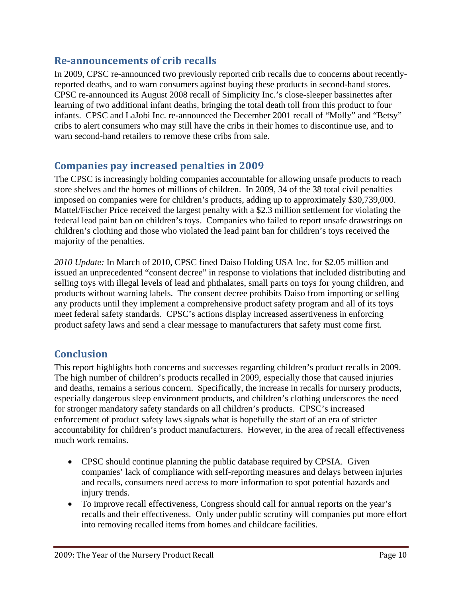#### **Reannouncements of crib recalls**

In 2009, CPSC re-announced two previously reported crib recalls due to concerns about recentlyreported deaths, and to warn consumers against buying these products in second-hand stores. CPSC re-announced its August 2008 recall of Simplicity Inc.'s close-sleeper bassinettes after learning of two additional infant deaths, bringing the total death toll from this product to four infants. CPSC and LaJobi Inc. re-announced the December 2001 recall of "Molly" and "Betsy" cribs to alert consumers who may still have the cribs in their homes to discontinue use, and to warn second-hand retailers to remove these cribs from sale.

# **Companies pay increased penalties in 2009**

The CPSC is increasingly holding companies accountable for allowing unsafe products to reach store shelves and the homes of millions of children. In 2009, 34 of the 38 total civil penalties imposed on companies were for children's products, adding up to approximately \$30,739,000. Mattel/Fischer Price received the largest penalty with a \$2.3 million settlement for violating the federal lead paint ban on children's toys. Companies who failed to report unsafe drawstrings on children's clothing and those who violated the lead paint ban for children's toys received the majority of the penalties.

*2010 Update:* In March of 2010, CPSC fined Daiso Holding USA Inc. for \$2.05 million and issued an unprecedented "consent decree" in response to violations that included distributing and selling toys with illegal levels of lead and phthalates, small parts on toys for young children, and products without warning labels. The consent decree prohibits Daiso from importing or selling any products until they implement a comprehensive product safety program and all of its toys meet federal safety standards. CPSC's actions display increased assertiveness in enforcing product safety laws and send a clear message to manufacturers that safety must come first.

# **Conclusion**

This report highlights both concerns and successes regarding children's product recalls in 2009. The high number of children's products recalled in 2009, especially those that caused injuries and deaths, remains a serious concern. Specifically, the increase in recalls for nursery products, especially dangerous sleep environment products, and children's clothing underscores the need for stronger mandatory safety standards on all children's products. CPSC's increased enforcement of product safety laws signals what is hopefully the start of an era of stricter accountability for children's product manufacturers. However, in the area of recall effectiveness much work remains.

- CPSC should continue planning the public database required by CPSIA. Given companies' lack of compliance with self-reporting measures and delays between injuries and recalls, consumers need access to more information to spot potential hazards and injury trends.
- To improve recall effectiveness, Congress should call for annual reports on the year's recalls and their effectiveness. Only under public scrutiny will companies put more effort into removing recalled items from homes and childcare facilities.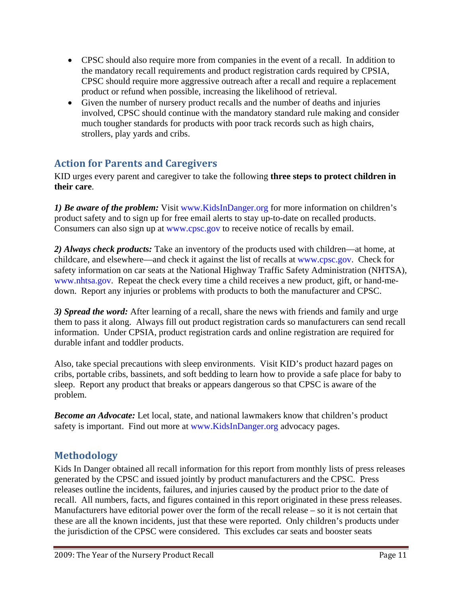- CPSC should also require more from companies in the event of a recall. In addition to the mandatory recall requirements and product registration cards required by CPSIA, CPSC should require more aggressive outreach after a recall and require a replacement product or refund when possible, increasing the likelihood of retrieval.
- Given the number of nursery product recalls and the number of deaths and injuries involved, CPSC should continue with the mandatory standard rule making and consider much tougher standards for products with poor track records such as high chairs, strollers, play yards and cribs.

# **Action for Parents and Caregivers**

KID urges every parent and caregiver to take the following **three steps to protect children in their care**.

*1) Be aware of the problem:* Visit www.KidsInDanger.org for more information on children's product safety and to sign up for free email alerts to stay up-to-date on recalled products. Consumers can also sign up at www.cpsc.gov to receive notice of recalls by email.

*2) Always check products:* Take an inventory of the products used with children—at home, at childcare, and elsewhere—and check it against the list of recalls at www.cpsc.gov. Check for safety information on car seats at the National Highway Traffic Safety Administration (NHTSA), www.nhtsa.gov. Repeat the check every time a child receives a new product, gift, or hand-medown. Report any injuries or problems with products to both the manufacturer and CPSC.

*3) Spread the word:* After learning of a recall, share the news with friends and family and urge them to pass it along. Always fill out product registration cards so manufacturers can send recall information. Under CPSIA, product registration cards and online registration are required for durable infant and toddler products.

Also, take special precautions with sleep environments. Visit KID's product hazard pages on cribs, portable cribs, bassinets, and soft bedding to learn how to provide a safe place for baby to sleep. Report any product that breaks or appears dangerous so that CPSC is aware of the problem.

*Become an Advocate:* Let local, state, and national lawmakers know that children's product safety is important. Find out more at www.KidsInDanger.org advocacy pages.

# **Methodology**

Kids In Danger obtained all recall information for this report from monthly lists of press releases generated by the CPSC and issued jointly by product manufacturers and the CPSC. Press releases outline the incidents, failures, and injuries caused by the product prior to the date of recall. All numbers, facts, and figures contained in this report originated in these press releases. Manufacturers have editorial power over the form of the recall release – so it is not certain that these are all the known incidents, just that these were reported. Only children's products under the jurisdiction of the CPSC were considered. This excludes car seats and booster seats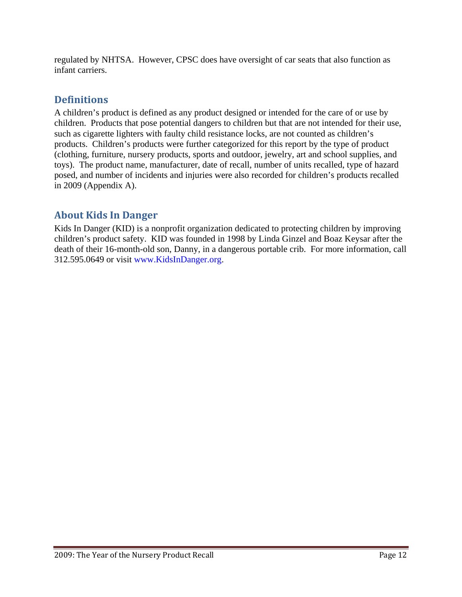regulated by NHTSA. However, CPSC does have oversight of car seats that also function as infant carriers.

### **Definitions**

A children's product is defined as any product designed or intended for the care of or use by children. Products that pose potential dangers to children but that are not intended for their use, such as cigarette lighters with faulty child resistance locks, are not counted as children's products. Children's products were further categorized for this report by the type of product (clothing, furniture, nursery products, sports and outdoor, jewelry, art and school supplies, and toys). The product name, manufacturer, date of recall, number of units recalled, type of hazard posed, and number of incidents and injuries were also recorded for children's products recalled in 2009 (Appendix A).

# **About Kids In Danger**

Kids In Danger (KID) is a nonprofit organization dedicated to protecting children by improving children's product safety. KID was founded in 1998 by Linda Ginzel and Boaz Keysar after the death of their 16-month-old son, Danny, in a dangerous portable crib. For more information, call 312.595.0649 or visit www.KidsInDanger.org.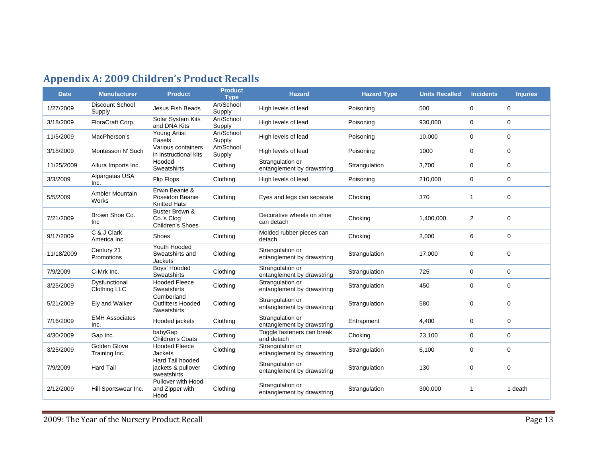# **Appendix A: 2009 Children's Product Recalls**

| <b>Date</b> | <b>Manufacturer</b>                  | <b>Product</b>                                           | <b>Product</b><br><b>Type</b> | <b>Hazard</b>                                  | <b>Hazard Type</b> | <b>Units Recalled</b> | <b>Incidents</b> | <b>Injuries</b> |
|-------------|--------------------------------------|----------------------------------------------------------|-------------------------------|------------------------------------------------|--------------------|-----------------------|------------------|-----------------|
| 1/27/2009   | <b>Discount School</b><br>Supply     | <b>Jesus Fish Beads</b>                                  | Art/School<br>Supply          | High levels of lead                            | Poisoning          | 500                   | 0                | $\mathbf 0$     |
| 3/18/2009   | FloraCraft Corp.                     | <b>Solar System Kits</b><br>and DNA Kits                 | Art/School<br>Supply          | High levels of lead                            | Poisoning          | 930,000               | 0                | 0               |
| 11/5/2009   | MacPherson's                         | <b>Young Artist</b><br>Easels                            | Art/School<br>Supply          | High levels of lead                            | Poisoning          | 10,000                | 0                | $\mathbf 0$     |
| 3/18/2009   | Montessori N' Such                   | Various containers<br>in instructional kits              | Art/School<br>Supply          | High levels of lead                            | Poisoning          | 1000                  | $\mathbf 0$      | $\mathbf 0$     |
| 11/25/2009  | Allura Imports Inc.                  | Hooded<br>Sweatshirts                                    | Clothing                      | Strangulation or<br>entanglement by drawstring | Strangulation      | 3,700                 | 0                | $\mathbf 0$     |
| 3/3/2009    | Alpargatas USA<br>Inc.               | Flip Flops                                               | Clothing                      | High levels of lead                            | Poisoning          | 210,000               | 0                | $\pmb{0}$       |
| 5/5/2009    | <b>Ambler Mountain</b><br>Works      | Erwin Beanie &<br>Poseidon Beanie<br><b>Knitted Hats</b> | Clothing                      | Eyes and legs can separate                     | Choking            | 370                   | $\mathbf{1}$     | $\mathbf 0$     |
| 7/21/2009   | Brown Shoe Co.<br><b>Inc</b>         | Buster Brown &<br>Co.'s Clog<br>Children's Shoes         | Clothing                      | Decorative wheels on shoe<br>can detach        | Choking            | 1,400,000             | $\overline{2}$   | 0               |
| 9/17/2009   | C & J Clark<br>America Inc.          | Shoes                                                    | Clothing                      | Molded rubber pieces can<br>detach             | Choking            | 2,000                 | 6                | $\mathbf 0$     |
| 11/18/2009  | Century 21<br>Promotions             | Youth Hooded<br>Sweatshirts and<br><b>Jackets</b>        | Clothing                      | Strangulation or<br>entanglement by drawstring | Strangulation      | 17,000                | 0                | 0               |
| 7/9/2009    | C-Mrk Inc.                           | Boys' Hooded<br>Sweatshirts                              | Clothing                      | Strangulation or<br>entanglement by drawstring | Strangulation      | 725                   | 0                | $\mathbf 0$     |
| 3/25/2009   | Dysfunctional<br><b>Clothing LLC</b> | <b>Hooded Fleece</b><br><b>Sweatshirts</b>               | Clothing                      | Strangulation or<br>entanglement by drawstring | Strangulation      | 450                   | 0                | $\mathbf 0$     |
| 5/21/2009   | Ely and Walker                       | Cumberland<br><b>Outfitters Hooded</b><br>Sweatshirts    | Clothing                      | Strangulation or<br>entanglement by drawstring | Strangulation      | 580                   | 0                | 0               |
| 7/16/2009   | <b>EMH Associates</b><br>Inc.        | Hooded jackets                                           | Clothing                      | Strangulation or<br>entanglement by drawstring | Entrapment         | 4,400                 | 0                | $\pmb{0}$       |
| 4/30/2009   | Gap Inc.                             | babyGap<br>Children's Coats                              | Clothing                      | Toggle fasteners can break<br>and detach       | Choking            | 23,100                | 0                | $\mathbf 0$     |
| 3/25/2009   | Golden Glove<br>Training Inc.        | <b>Hooded Fleece</b><br>Jackets                          | Clothing                      | Strangulation or<br>entanglement by drawstring | Strangulation      | 6,100                 | 0                | $\mathbf 0$     |
| 7/9/2009    | <b>Hard Tail</b>                     | Hard Tail hooded<br>jackets & pullover<br>sweatshirts    | Clothing                      | Strangulation or<br>entanglement by drawstring | Strangulation      | 130                   | 0                | $\mathbf 0$     |
| 2/12/2009   | Hill Sportswear Inc.                 | Pullover with Hood<br>and Zipper with<br>Hood            | Clothing                      | Strangulation or<br>entanglement by drawstring | Strangulation      | 300,000               | $\mathbf{1}$     | 1 death         |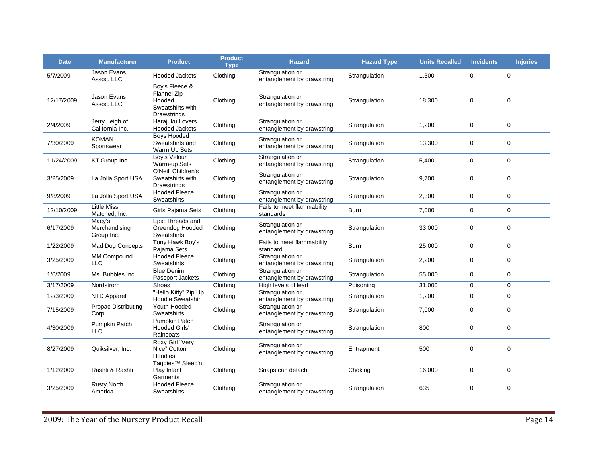| <b>Date</b> | <b>Manufacturer</b>                   | <b>Product</b>                                                             | <b>Product</b><br><b>Type</b> | <b>Hazard</b>                                  | <b>Hazard Type</b> | <b>Units Recalled</b> | <b>Incidents</b> | <b>Injuries</b> |
|-------------|---------------------------------------|----------------------------------------------------------------------------|-------------------------------|------------------------------------------------|--------------------|-----------------------|------------------|-----------------|
| 5/7/2009    | Jason Evans<br>Assoc. LLC             | <b>Hooded Jackets</b>                                                      | Clothing                      | Strangulation or<br>entanglement by drawstring | Strangulation      | 1,300                 | $\mathbf 0$      | $\mathbf 0$     |
| 12/17/2009  | Jason Evans<br>Assoc. LLC             | Boy's Fleece &<br>Flannel Zip<br>Hooded<br>Sweatshirts with<br>Drawstrings | Clothing                      | Strangulation or<br>entanglement by drawstring | Strangulation      | 18,300                | $\mathbf 0$      | 0               |
| 2/4/2009    | Jerry Leigh of<br>California Inc.     | Harajuku Lovers<br><b>Hooded Jackets</b>                                   | Clothing                      | Strangulation or<br>entanglement by drawstring | Strangulation      | 1,200                 | 0                | 0               |
| 7/30/2009   | <b>KOMAN</b><br>Sportswear            | <b>Boys Hooded</b><br>Sweatshirts and<br>Warm Up Sets                      | Clothing                      | Strangulation or<br>entanglement by drawstring | Strangulation      | 13,300                | 0                | 0               |
| 11/24/2009  | KT Group Inc.                         | Boy's Velour<br>Warm-up Sets                                               | Clothing                      | Strangulation or<br>entanglement by drawstring | Strangulation      | 5,400                 | 0                | 0               |
| 3/25/2009   | La Jolla Sport USA                    | O'Neill Children's<br>Sweatshirts with<br>Drawstrings                      | Clothing                      | Strangulation or<br>entanglement by drawstring | Strangulation      | 9,700                 | 0                | 0               |
| 9/8/2009    | La Jolla Sport USA                    | <b>Hooded Fleece</b><br>Sweatshirts                                        | Clothing                      | Strangulation or<br>entanglement by drawstring | Strangulation      | 2,300                 | 0                | 0               |
| 12/10/2009  | <b>Little Miss</b><br>Matched, Inc.   | Girls Pajama Sets                                                          | Clothing                      | Fails to meet flammability<br>standards        | <b>Burn</b>        | 7,000                 | 0                | 0               |
| 6/17/2009   | Macy's<br>Merchandising<br>Group Inc. | Epic Threads and<br>Greendog Hooded<br><b>Sweatshirts</b>                  | Clothing                      | Strangulation or<br>entanglement by drawstring | Strangulation      | 33,000                | 0                | 0               |
| 1/22/2009   | <b>Mad Dog Concepts</b>               | Tony Hawk Boy's<br>Pajama Sets                                             | Clothing                      | Fails to meet flammability<br>standard         | Burn               | 25,000                | 0                | 0               |
| 3/25/2009   | MM Compound<br><b>LLC</b>             | <b>Hooded Fleece</b><br><b>Sweatshirts</b>                                 | Clothing                      | Strangulation or<br>entanglement by drawstring | Strangulation      | 2,200                 | 0                | 0               |
| 1/6/2009    | Ms. Bubbles Inc.                      | <b>Blue Denim</b><br>Passport Jackets                                      | Clothing                      | Strangulation or<br>entanglement by drawstring | Strangulation      | 55,000                | $\mathbf 0$      | 0               |
| 3/17/2009   | Nordstrom                             | <b>Shoes</b>                                                               | Clothing                      | High levels of lead                            | Poisoning          | 31,000                | 0                | 0               |
| 12/3/2009   | <b>NTD Apparel</b>                    | "Hello Kitty" Zip Up<br><b>Hoodie Sweatshirt</b>                           | Clothing                      | Strangulation or<br>entanglement by drawstring | Strangulation      | 1,200                 | 0                | 0               |
| 7/15/2009   | <b>Propac Distributing</b><br>Corp    | Youth Hooded<br><b>Sweatshirts</b>                                         | Clothing                      | Strangulation or<br>entanglement by drawstring | Strangulation      | 7,000                 | 0                | 0               |
| 4/30/2009   | Pumpkin Patch<br><b>LLC</b>           | Pumpkin Patch<br>Hooded Girls'<br>Raincoats                                | Clothing                      | Strangulation or<br>entanglement by drawstring | Strangulation      | 800                   | 0                | 0               |
| 8/27/2009   | Quiksilver, Inc.                      | Roxy Girl "Very<br>Nice" Cotton<br>Hoodies                                 | Clothing                      | Strangulation or<br>entanglement by drawstring | Entrapment         | 500                   | 0                | 0               |
| 1/12/2009   | Rashti & Rashti                       | Taggies <sup>™</sup> Sleep'n<br>Play Infant<br>Garments                    | Clothing                      | Snaps can detach                               | Choking            | 16,000                | 0                | 0               |
| 3/25/2009   | <b>Rusty North</b><br>America         | <b>Hooded Fleece</b><br>Sweatshirts                                        | Clothing                      | Strangulation or<br>entanglement by drawstring | Strangulation      | 635                   | 0                | 0               |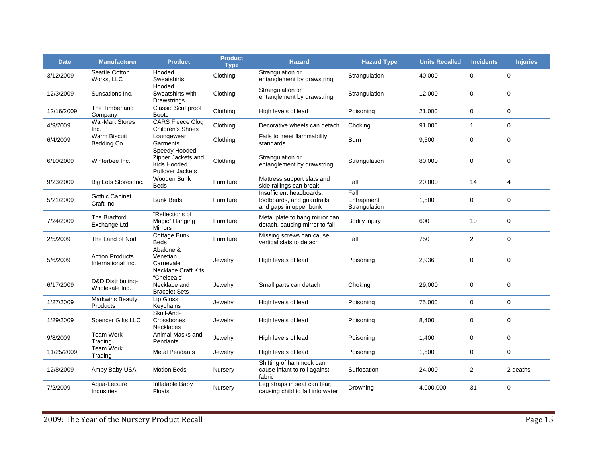| <b>Date</b> | <b>Manufacturer</b>                          | <b>Product</b>                                                                | <b>Product</b><br><b>Type</b> | <b>Hazard</b>                                                                     | <b>Hazard Type</b>                  | <b>Units Recalled</b> | <b>Incidents</b> | <b>Injuries</b> |
|-------------|----------------------------------------------|-------------------------------------------------------------------------------|-------------------------------|-----------------------------------------------------------------------------------|-------------------------------------|-----------------------|------------------|-----------------|
| 3/12/2009   | Seattle Cotton<br>Works, LLC                 | Hooded<br>Sweatshirts                                                         | Clothing                      | Strangulation or<br>entanglement by drawstring                                    | Strangulation                       | 40,000                | 0                | $\mathbf 0$     |
| 12/3/2009   | Sunsations Inc.                              | Hooded<br>Sweatshirts with<br>Drawstrings                                     | Clothing                      | Strangulation or<br>entanglement by drawstring                                    | Strangulation                       | 12,000                | 0                | $\mathbf 0$     |
| 12/16/2009  | The Timberland<br>Company                    | <b>Classic Scuffproof</b><br><b>Boots</b>                                     | Clothing                      | High levels of lead                                                               | Poisoning                           | 21,000                | 0                | $\mathbf 0$     |
| 4/9/2009    | <b>Wal-Mart Stores</b><br>Inc.               | <b>CARS Fleece Clog</b><br>Children's Shoes                                   | Clothing                      | Decorative wheels can detach                                                      | Choking                             | 91,000                | $\mathbf{1}$     | $\mathbf 0$     |
| 6/4/2009    | <b>Warm Biscuit</b><br>Bedding Co.           | Loungewear<br>Garments                                                        | Clothing                      | Fails to meet flammability<br>standards                                           | <b>Burn</b>                         | 9,500                 | 0                | $\mathbf 0$     |
| 6/10/2009   | Winterbee Inc.                               | Speedy Hooded<br>Zipper Jackets and<br>Kids Hooded<br><b>Pullover Jackets</b> | Clothing                      | Strangulation or<br>entanglement by drawstring                                    | Strangulation                       | 80,000                | 0                | $\mathbf 0$     |
| 9/23/2009   | Big Lots Stores Inc.                         | Wooden Bunk<br><b>Beds</b>                                                    | Furniture                     | Mattress support slats and<br>side railings can break                             | Fall                                | 20,000                | 14               | 4               |
| 5/21/2009   | <b>Gothic Cabinet</b><br>Craft Inc.          | <b>Bunk Beds</b>                                                              | Furniture                     | Insufficient headboards.<br>footboards, and quardrails,<br>and gaps in upper bunk | Fall<br>Entrapment<br>Strangulation | 1,500                 | 0                | $\mathbf 0$     |
| 7/24/2009   | The Bradford<br>Exchange Ltd.                | "Reflections of<br>Magic" Hanging<br><b>Mirrors</b>                           | Furniture                     | Metal plate to hang mirror can<br>detach, causing mirror to fall                  | Bodily injury                       | 600                   | 10               | $\mathbf 0$     |
| 2/5/2009    | The Land of Nod                              | Cottage Bunk<br><b>Beds</b>                                                   | Furniture                     | Missing screws can cause<br>vertical slats to detach                              | Fall                                | 750                   | $\overline{2}$   | $\mathbf 0$     |
| 5/6/2009    | <b>Action Products</b><br>International Inc. | Abalone &<br>Venetian<br>Carnevale<br><b>Necklace Craft Kits</b>              | Jewelry                       | High levels of lead                                                               | Poisoning                           | 2,936                 | 0                | $\mathbf 0$     |
| 6/17/2009   | D&D Distributing-<br>Wholesale Inc.          | "Chelsea's"<br>Necklace and<br><b>Bracelet Sets</b>                           | Jewelry                       | Small parts can detach                                                            | Choking                             | 29,000                | 0                | 0               |
| 1/27/2009   | <b>Markwins Beauty</b><br>Products           | Lip Gloss<br>Keychains                                                        | Jewelry                       | High levels of lead                                                               | Poisoning                           | 75,000                | 0                | $\mathbf 0$     |
| 1/29/2009   | Spencer Gifts LLC                            | Skull-And-<br>Crossbones<br><b>Necklaces</b>                                  | Jewelry                       | High levels of lead                                                               | Poisoning                           | 8,400                 | 0                | 0               |
| 9/8/2009    | <b>Team Work</b><br>Trading                  | Animal Masks and<br>Pendants                                                  | Jewelry                       | High levels of lead                                                               | Poisoning                           | 1,400                 | 0                | $\mathbf 0$     |
| 11/25/2009  | Team Work<br>Trading                         | <b>Metal Pendants</b>                                                         | Jewelry                       | High levels of lead                                                               | Poisoning                           | 1,500                 | 0                | $\mathbf 0$     |
| 12/8/2009   | Amby Baby USA                                | <b>Motion Beds</b>                                                            | Nursery                       | Shifting of hammock can<br>cause infant to roll against<br>fabric                 | Suffocation                         | 24,000                | 2                | 2 deaths        |
| 7/2/2009    | Aqua-Leisure<br>Industries                   | Inflatable Baby<br>Floats                                                     | Nursery                       | Leg straps in seat can tear,<br>causing child to fall into water                  | Drowning                            | 4,000,000             | 31               | $\mathbf 0$     |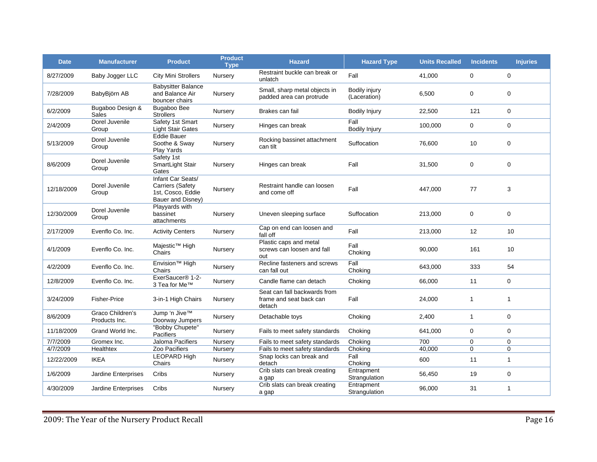| <b>Date</b> | <b>Manufacturer</b>               | <b>Product</b>                                                                         | <b>Product</b><br><b>Type</b> | <b>Hazard</b>                                                     | <b>Hazard Type</b>            | <b>Units Recalled</b> | <b>Incidents</b> | <b>Injuries</b> |
|-------------|-----------------------------------|----------------------------------------------------------------------------------------|-------------------------------|-------------------------------------------------------------------|-------------------------------|-----------------------|------------------|-----------------|
| 8/27/2009   | Baby Jogger LLC                   | <b>City Mini Strollers</b>                                                             | Nursery                       | Restraint buckle can break or<br>unlatch                          | Fall                          | 41,000                | 0                | $\Omega$        |
| 7/28/2009   | BabyBjörn AB                      | <b>Babysitter Balance</b><br>and Balance Air<br>bouncer chairs                         | Nursery                       | Small, sharp metal objects in<br>padded area can protrude         | Bodily injury<br>(Laceration) | 6,500                 | $\mathbf 0$      | $\mathbf 0$     |
| 6/2/2009    | Bugaboo Design &<br>Sales         | Bugaboo Bee<br><b>Strollers</b>                                                        | Nursery                       | Brakes can fail                                                   | <b>Bodily Injury</b>          | 22,500                | 121              | $\mathbf 0$     |
| 2/4/2009    | Dorel Juvenile<br>Group           | Safety 1st Smart<br><b>Light Stair Gates</b>                                           | Nursery                       | Hinges can break                                                  | Fall<br><b>Bodily Injury</b>  | 100,000               | $\mathbf 0$      | $\mathbf 0$     |
| 5/13/2009   | Dorel Juvenile<br>Group           | <b>Eddie Bauer</b><br>Soothe & Sway<br>Play Yards                                      | Nursery                       | Rocking bassinet attachment<br>can tilt                           | Suffocation                   | 76,600                | 10               | $\mathbf 0$     |
| 8/6/2009    | Dorel Juvenile<br>Group           | Safety 1st<br>SmartLight Stair<br>Gates                                                | Nursery                       | Hinges can break                                                  | Fall                          | 31,500                | 0                | $\mathbf 0$     |
| 12/18/2009  | Dorel Juvenile<br>Group           | Infant Car Seats/<br><b>Carriers (Safety</b><br>1st, Cosco, Eddie<br>Bauer and Disney) | Nursery                       | Restraint handle can loosen<br>and come off                       | Fall                          | 447,000               | 77               | 3               |
| 12/30/2009  | Dorel Juvenile<br>Group           | Playyards with<br>bassinet<br>attachments                                              | Nursery                       | Uneven sleeping surface                                           | Suffocation                   | 213,000               | 0                | $\mathbf 0$     |
| 2/17/2009   | Evenflo Co. Inc.                  | <b>Activity Centers</b>                                                                | Nursery                       | Cap on end can loosen and<br>fall off                             | Fall                          | 213,000               | 12               | 10              |
| 4/1/2009    | Evenflo Co. Inc.                  | Majestic <sup>™</sup> High<br>Chairs                                                   | Nursery                       | Plastic caps and metal<br>screws can loosen and fall<br>out       | Fall<br>Choking               | 90,000                | 161              | 10              |
| 4/2/2009    | Evenflo Co. Inc.                  | Envision <sup>™</sup> High<br>Chairs                                                   | Nursery                       | Recline fasteners and screws<br>can fall out                      | Fall<br>Choking               | 643,000               | 333              | 54              |
| 12/8/2009   | Evenflo Co. Inc.                  | ExerSaucer® 1-2-<br>3 Tea for Me™                                                      | Nursery                       | Candle flame can detach                                           | Choking                       | 66,000                | 11               | $\mathbf 0$     |
| 3/24/2009   | <b>Fisher-Price</b>               | 3-in-1 High Chairs                                                                     | Nursery                       | Seat can fall backwards from<br>frame and seat back can<br>detach | Fall                          | 24,000                | $\mathbf{1}$     | 1               |
| 8/6/2009    | Graco Children's<br>Products Inc. | Jump 'n Jive™<br>Doorway Jumpers                                                       | Nursery                       | Detachable toys                                                   | Choking                       | 2,400                 | $\mathbf{1}$     | $\pmb{0}$       |
| 11/18/2009  | Grand World Inc.                  | "Bobby Chupete"<br>Pacifiers                                                           | Nursery                       | Fails to meet safety standards                                    | Choking                       | 641,000               | $\mathbf 0$      | $\mathbf 0$     |
| 7/7/2009    | Gromex Inc.                       | Jaloma Pacifiers                                                                       | Nursery                       | Fails to meet safety standards                                    | Choking                       | 700                   | 0                | $\pmb{0}$       |
| 4/7/2009    | <b>Healthtex</b>                  | Zoo Pacifiers                                                                          | Nursery                       | Fails to meet safety standards                                    | Choking                       | 40,000                | $\mathbf 0$      | $\mathbf 0$     |
| 12/22/2009  | <b>IKEA</b>                       | LEOPARD High<br>Chairs                                                                 | Nursery                       | Snap locks can break and<br>detach                                | Fall<br>Choking               | 600                   | 11               | $\mathbf{1}$    |
| 1/6/2009    | Jardine Enterprises               | Cribs                                                                                  | Nursery                       | Crib slats can break creating<br>a gap                            | Entrapment<br>Strangulation   | 56,450                | 19               | 0               |
| 4/30/2009   | <b>Jardine Enterprises</b>        | Cribs                                                                                  | Nursery                       | Crib slats can break creating<br>a gap                            | Entrapment<br>Strangulation   | 96,000                | 31               | $\mathbf{1}$    |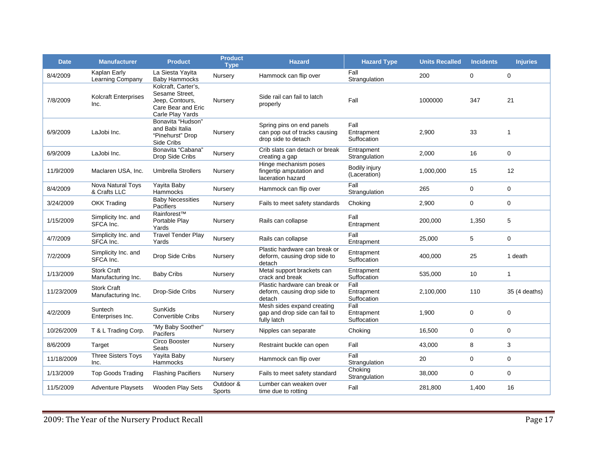| <b>Date</b> | <b>Manufacturer</b>                      | <b>Product</b>                                                                                     | <b>Product</b><br><b>Type</b> | <b>Hazard</b>                                                                     | <b>Hazard Type</b>                | <b>Units Recalled</b> | <b>Incidents</b> | <b>Injuries</b>   |
|-------------|------------------------------------------|----------------------------------------------------------------------------------------------------|-------------------------------|-----------------------------------------------------------------------------------|-----------------------------------|-----------------------|------------------|-------------------|
| 8/4/2009    | Kaplan Early<br>Learning Company         | La Siesta Yayita<br><b>Baby Hammocks</b>                                                           | Nursery                       | Hammock can flip over                                                             | Fall<br>Strangulation             | 200                   | 0                | $\mathbf 0$       |
| 7/8/2009    | <b>Kolcraft Enterprises</b><br>Inc.      | Kolcraft, Carter's,<br>Sesame Street,<br>Jeep, Contours,<br>Care Bear and Eric<br>Carle Play Yards | Nursery                       | Side rail can fail to latch<br>properly                                           | Fall                              | 1000000               | 347              | 21                |
| 6/9/2009    | LaJobi Inc.                              | Bonavita "Hudson"<br>and Babi Italia<br>"Pinehurst" Drop<br>Side Cribs                             | Nursery                       | Spring pins on end panels<br>can pop out of tracks causing<br>drop side to detach | Fall<br>Entrapment<br>Suffocation | 2,900                 | 33               | $\mathbf{1}$      |
| 6/9/2009    | LaJobi Inc.                              | Bonavita "Cabana"<br>Drop Side Cribs                                                               | Nursery                       | Crib slats can detach or break<br>creating a gap                                  | Entrapment<br>Strangulation       | 2,000                 | 16               | $\mathbf 0$       |
| 11/9/2009   | Maclaren USA, Inc.                       | <b>Umbrella Strollers</b>                                                                          | Nursery                       | Hinge mechanism poses<br>fingertip amputation and<br>laceration hazard            | Bodily injury<br>(Laceration)     | 1,000,000             | 15               | $12 \overline{ }$ |
| 8/4/2009    | Nova Natural Toys<br>& Crafts LLC        | Yayita Baby<br>Hammocks                                                                            | Nursery                       | Hammock can flip over                                                             | Fall<br>Strangulation             | 265                   | $\mathbf 0$      | $\mathbf 0$       |
| 3/24/2009   | OKK Trading                              | <b>Baby Necessities</b><br>Pacifiers                                                               | Nursery                       | Fails to meet safety standards                                                    | Choking                           | 2,900                 | 0                | 0                 |
| 1/15/2009   | Simplicity Inc. and<br>SFCA Inc.         | Rainforest™<br>Portable Plav<br>Yards                                                              | Nursery                       | Rails can collapse                                                                | Fall<br>Entrapment                | 200,000               | 1,350            | 5                 |
| 4/7/2009    | Simplicity Inc. and<br>SFCA Inc.         | <b>Travel Tender Play</b><br>Yards                                                                 | Nursery                       | Rails can collapse                                                                | Fall<br>Entrapment                | 25,000                | 5                | $\mathbf 0$       |
| 7/2/2009    | Simplicity Inc. and<br>SFCA Inc.         | Drop Side Cribs                                                                                    | Nursery                       | Plastic hardware can break or<br>deform, causing drop side to<br>detach           | Entrapment<br>Suffocation         | 400,000               | 25               | 1 death           |
| 1/13/2009   | <b>Stork Craft</b><br>Manufacturing Inc. | <b>Baby Cribs</b>                                                                                  | Nursery                       | Metal support brackets can<br>crack and break                                     | Entrapment<br>Suffocation         | 535,000               | 10               | $\mathbf{1}$      |
| 11/23/2009  | <b>Stork Craft</b><br>Manufacturing Inc. | Drop-Side Cribs                                                                                    | Nursery                       | Plastic hardware can break or<br>deform, causing drop side to<br>detach           | Fall<br>Entrapment<br>Suffocation | 2,100,000             | 110              | 35 (4 deaths)     |
| 4/2/2009    | Suntech<br>Enterprises Inc.              | <b>SunKids</b><br><b>Convertible Cribs</b>                                                         | Nursery                       | Mesh sides expand creating<br>gap and drop side can fail to<br>fully latch        | Fall<br>Entrapment<br>Suffocation | 1,900                 | 0                | $\mathbf 0$       |
| 10/26/2009  | T & L Trading Corp.                      | "My Baby Soother"<br>Pacifers                                                                      | Nursery                       | Nipples can separate                                                              | Choking                           | 16,500                | $\mathbf 0$      | $\mathbf 0$       |
| 8/6/2009    | Target                                   | Circo Booster<br>Seats                                                                             | Nursery                       | Restraint buckle can open                                                         | Fall                              | 43,000                | 8                | 3                 |
| 11/18/2009  | <b>Three Sisters Toys</b><br>Inc.        | Yayita Baby<br>Hammocks                                                                            | Nursery                       | Hammock can flip over                                                             | Fall<br>Strangulation             | 20                    | 0                | $\mathbf 0$       |
| 1/13/2009   | <b>Top Goods Trading</b>                 | <b>Flashing Pacifiers</b>                                                                          | Nursery                       | Fails to meet safety standard                                                     | Choking<br>Strangulation          | 38,000                | 0                | $\mathbf 0$       |
| 11/5/2009   | <b>Adventure Playsets</b>                | <b>Wooden Play Sets</b>                                                                            | Outdoor &<br>Sports           | Lumber can weaken over<br>time due to rotting                                     | Fall                              | 281,800               | 1,400            | 16                |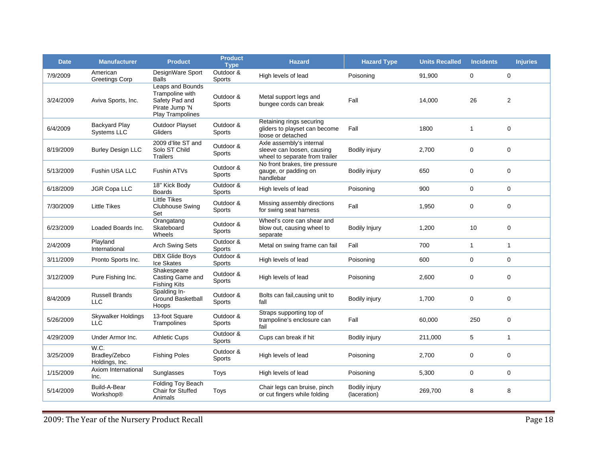| <b>Date</b> | <b>Manufacturer</b>                     | <b>Product</b>                                                                              | <b>Product</b><br><b>Type</b> | <b>Hazard</b>                                                                            | <b>Hazard Type</b>            | <b>Units Recalled</b> | <b>Incidents</b> | <b>Injuries</b> |
|-------------|-----------------------------------------|---------------------------------------------------------------------------------------------|-------------------------------|------------------------------------------------------------------------------------------|-------------------------------|-----------------------|------------------|-----------------|
| 7/9/2009    | American<br><b>Greetings Corp</b>       | DesignWare Sport<br><b>Balls</b>                                                            | Outdoor &<br><b>Sports</b>    | High levels of lead                                                                      | Poisoning                     | 91,900                | $\mathbf 0$      | 0               |
| 3/24/2009   | Aviva Sports, Inc.                      | Leaps and Bounds<br>Trampoline with<br>Safety Pad and<br>Pirate Jump 'N<br>Play Trampolines | Outdoor &<br><b>Sports</b>    | Metal support legs and<br>bungee cords can break                                         | Fall                          | 14,000                | 26               | 2               |
| 6/4/2009    | <b>Backyard Play</b><br>Systems LLC     | Outdoor Playset<br>Gliders                                                                  | Outdoor &<br>Sports           | Retaining rings securing<br>gliders to playset can become<br>loose or detached           | Fall                          | 1800                  | $\mathbf{1}$     | 0               |
| 8/19/2009   | <b>Burley Design LLC</b>                | 2009 d'lite ST and<br>Solo ST Child<br><b>Trailers</b>                                      | Outdoor &<br>Sports           | Axle assembly's internal<br>sleeve can loosen, causing<br>wheel to separate from trailer | Bodily injury                 | 2,700                 | 0                | 0               |
| 5/13/2009   | <b>Fushin USA LLC</b>                   | Fushin ATVs                                                                                 | Outdoor &<br>Sports           | No front brakes, tire pressure<br>gauge, or padding on<br>handlebar                      | Bodily injury                 | 650                   | 0                | 0               |
| 6/18/2009   | <b>JGR Copa LLC</b>                     | 18" Kick Body<br><b>Boards</b>                                                              | Outdoor &<br><b>Sports</b>    | High levels of lead                                                                      | Poisoning                     | 900                   | $\mathbf 0$      | $\Omega$        |
| 7/30/2009   | <b>Little Tikes</b>                     | <b>Little Tikes</b><br>Clubhouse Swing<br>Set                                               | Outdoor &<br><b>Sports</b>    | Missing assembly directions<br>for swing seat harness                                    | Fall                          | 1,950                 | 0                | 0               |
| 6/23/2009   | Loaded Boards Inc.                      | Orangatang<br>Skateboard<br>Wheels                                                          | Outdoor &<br>Sports           | Wheel's core can shear and<br>blow out, causing wheel to<br>separate                     | <b>Bodily Injury</b>          | 1,200                 | 10               | 0               |
| 2/4/2009    | Playland<br>International               | <b>Arch Swing Sets</b>                                                                      | Outdoor &<br><b>Sports</b>    | Metal on swing frame can fail                                                            | Fall                          | 700                   | $\mathbf{1}$     | $\mathbf{1}$    |
| 3/11/2009   | Pronto Sports Inc.                      | <b>DBX Glide Boys</b><br>Ice Skates                                                         | Outdoor &<br>Sports           | High levels of lead                                                                      | Poisoning                     | 600                   | $\mathbf 0$      | 0               |
| 3/12/2009   | Pure Fishing Inc.                       | Shakespeare<br>Casting Game and<br><b>Fishing Kits</b>                                      | Outdoor &<br><b>Sports</b>    | High levels of lead                                                                      | Poisoning                     | 2,600                 | 0                | 0               |
| 8/4/2009    | <b>Russell Brands</b><br><b>LLC</b>     | Spalding In-<br><b>Ground Basketball</b><br>Hoops                                           | Outdoor &<br>Sports           | Bolts can fail, causing unit to<br>fall                                                  | Bodily injury                 | 1,700                 | 0                | 0               |
| 5/26/2009   | Skywalker Holdings<br><b>LLC</b>        | 13-foot Square<br>Trampolines                                                               | Outdoor &<br>Sports           | Straps supporting top of<br>trampoline's enclosure can<br>fail                           | Fall                          | 60,000                | 250              | 0               |
| 4/29/2009   | Under Armor Inc.                        | <b>Athletic Cups</b>                                                                        | Outdoor &<br>Sports           | Cups can break if hit                                                                    | Bodily injury                 | 211,000               | 5                | $\mathbf{1}$    |
| 3/25/2009   | W.C.<br>Bradley/Zebco<br>Holdings, Inc. | <b>Fishing Poles</b>                                                                        | Outdoor &<br><b>Sports</b>    | High levels of lead                                                                      | Poisoning                     | 2,700                 | 0                | 0               |
| 1/15/2009   | Axiom International<br>Inc.             | Sunglasses                                                                                  | Toys                          | High levels of lead                                                                      | Poisoning                     | 5,300                 | 0                | 0               |
| 5/14/2009   | Build-A-Bear<br>Workshop®               | Folding Toy Beach<br>Chair for Stuffed<br>Animals                                           | Toys                          | Chair legs can bruise, pinch<br>or cut fingers while folding                             | Bodily injury<br>(laceration) | 269,700               | 8                | 8               |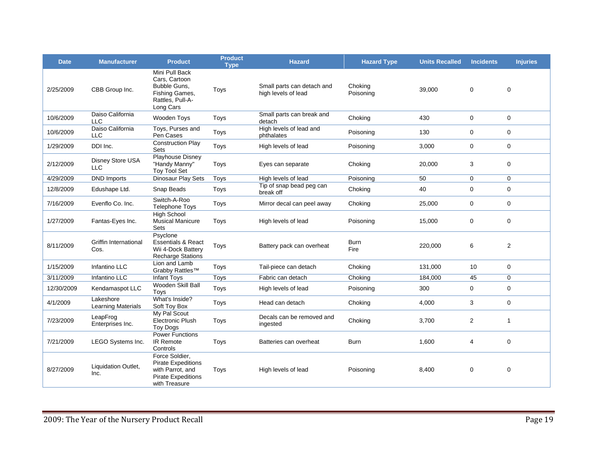| <b>Date</b> | <b>Manufacturer</b>                    | <b>Product</b>                                                                                                | <b>Product</b><br><b>Type</b> | <b>Hazard</b>                                     | <b>Hazard Type</b>   | <b>Units Recalled</b> | <b>Incidents</b> | <b>Injuries</b> |
|-------------|----------------------------------------|---------------------------------------------------------------------------------------------------------------|-------------------------------|---------------------------------------------------|----------------------|-----------------------|------------------|-----------------|
| 2/25/2009   | CBB Group Inc.                         | Mini Pull Back<br>Cars. Cartoon<br>Bubble Guns,<br>Fishing Games,<br>Rattles, Pull-A-<br>Long Cars            | Toys                          | Small parts can detach and<br>high levels of lead | Choking<br>Poisoning | 39,000                | 0                | $\mathbf 0$     |
| 10/6/2009   | Daiso California<br><b>LLC</b>         | Wooden Toys                                                                                                   | Toys                          | Small parts can break and<br>detach               | Choking              | 430                   | $\mathbf 0$      | $\mathbf 0$     |
| 10/6/2009   | Daiso California<br><b>LLC</b>         | Toys, Purses and<br>Pen Cases                                                                                 | Toys                          | High levels of lead and<br>phthalates             | Poisoning            | 130                   | 0                | $\mathbf 0$     |
| 1/29/2009   | DDI Inc.                               | <b>Construction Play</b><br>Sets                                                                              | Toys                          | High levels of lead                               | Poisoning            | 3,000                 | 0                | $\mathbf 0$     |
| 2/12/2009   | Disney Store USA<br><b>LLC</b>         | <b>Playhouse Disney</b><br>"Handy Manny"<br>Toy Tool Set                                                      | Toys                          | Eyes can separate                                 | Choking              | 20,000                | 3                | $\mathbf 0$     |
| 4/29/2009   | <b>DND Imports</b>                     | Dinosaur Play Sets                                                                                            | Toys                          | High levels of lead                               | Poisoning            | 50                    | 0                | $\mathbf 0$     |
| 12/8/2009   | Edushape Ltd.                          | Snap Beads                                                                                                    | Toys                          | Tip of snap bead peg can<br>break off             | Choking              | 40                    | $\mathbf 0$      | $\mathbf 0$     |
| 7/16/2009   | Evenflo Co. Inc.                       | Switch-A-Roo<br><b>Telephone Toys</b>                                                                         | Toys                          | Mirror decal can peel away                        | Choking              | 25,000                | 0                | $\mathbf 0$     |
| 1/27/2009   | Fantas-Eyes Inc.                       | <b>High School</b><br><b>Musical Manicure</b><br>Sets                                                         | Toys                          | High levels of lead                               | Poisoning            | 15,000                | $\mathbf 0$      | $\mathbf 0$     |
| 8/11/2009   | Griffin International<br>Cos.          | Psyclone<br><b>Essentials &amp; React</b><br>Wii 4-Dock Battery<br><b>Recharge Stations</b>                   | Toys                          | Battery pack can overheat                         | <b>Burn</b><br>Fire  | 220,000               | 6                | 2               |
| 1/15/2009   | Infantino LLC                          | Lion and Lamb<br>Grabby Rattles <sup>™</sup>                                                                  | Toys                          | Tail-piece can detach                             | Choking              | 131,000               | 10               | $\mathbf 0$     |
| 3/11/2009   | Infantino LLC                          | Infant Toys                                                                                                   | Toys                          | Fabric can detach                                 | Choking              | 184,000               | 45               | 0               |
| 12/30/2009  | Kendamaspot LLC                        | Wooden Skill Ball<br>Toys                                                                                     | Toys                          | High levels of lead                               | Poisoning            | 300                   | $\mathbf 0$      | $\mathbf 0$     |
| 4/1/2009    | Lakeshore<br><b>Learning Materials</b> | What's Inside?<br>Soft Toy Box                                                                                | Toys                          | Head can detach                                   | Choking              | 4,000                 | 3                | $\mathbf 0$     |
| 7/23/2009   | LeapFrog<br>Enterprises Inc.           | My Pal Scout<br><b>Electronic Plush</b><br><b>Toy Dogs</b>                                                    | Toys                          | Decals can be removed and<br>ingested             | Choking              | 3,700                 | $\overline{c}$   | $\mathbf{1}$    |
| 7/21/2009   | LEGO Systems Inc.                      | <b>Power Functions</b><br><b>IR Remote</b><br>Controls                                                        | Toys                          | Batteries can overheat                            | <b>Burn</b>          | 1,600                 | 4                | $\Omega$        |
| 8/27/2009   | Liquidation Outlet,<br>Inc.            | Force Soldier,<br><b>Pirate Expeditions</b><br>with Parrot, and<br><b>Pirate Expeditions</b><br>with Treasure | Toys                          | High levels of lead                               | Poisoning            | 8.400                 | $\mathbf 0$      | $\mathbf 0$     |